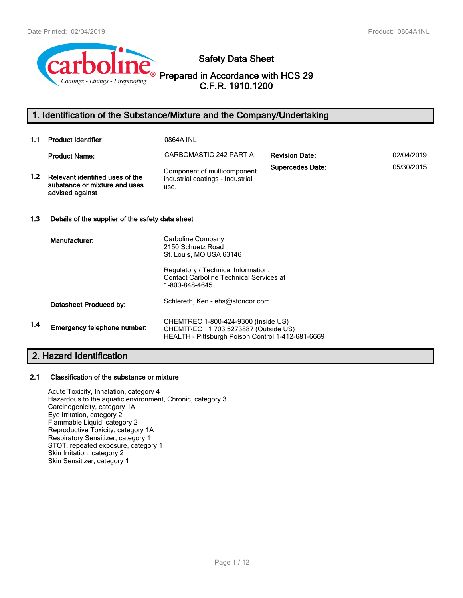

**Safety Data Sheet**

**Prepared in Accordance with HCS 29 C.F.R. 1910.1200**

# **1. Identification of the Substance/Mixture and the Company/Undertaking**

| 1.1 | <b>Product Identifier</b>                                                           | 0864A1NL                                                                                                                         |                         |            |  |
|-----|-------------------------------------------------------------------------------------|----------------------------------------------------------------------------------------------------------------------------------|-------------------------|------------|--|
|     | <b>Product Name:</b>                                                                | CARBOMASTIC 242 PART A                                                                                                           | <b>Revision Date:</b>   | 02/04/2019 |  |
| 1.2 | Relevant identified uses of the<br>substance or mixture and uses<br>advised against | Component of multicomponent<br>industrial coatings - Industrial<br>use.                                                          | <b>Supercedes Date:</b> | 05/30/2015 |  |
| 1.3 | Details of the supplier of the safety data sheet                                    |                                                                                                                                  |                         |            |  |
|     | Manufacturer:                                                                       | Carboline Company<br>2150 Schuetz Road<br>St. Louis, MO USA 63146                                                                |                         |            |  |
|     |                                                                                     | Regulatory / Technical Information:<br><b>Contact Carboline Technical Services at</b><br>1-800-848-4645                          |                         |            |  |
|     | Datasheet Produced by:                                                              | Schlereth, Ken - ehs@stoncor.com                                                                                                 |                         |            |  |
| 1.4 | Emergency telephone number:                                                         | CHEMTREC 1-800-424-9300 (Inside US)<br>CHEMTREC +1 703 5273887 (Outside US)<br>HEALTH - Pittsburgh Poison Control 1-412-681-6669 |                         |            |  |

# **2. Hazard Identification**

#### **2.1 Classification of the substance or mixture**

Acute Toxicity, Inhalation, category 4 Hazardous to the aquatic environment, Chronic, category 3 Carcinogenicity, category 1A Eye Irritation, category 2 Flammable Liquid, category 2 Reproductive Toxicity, category 1A Respiratory Sensitizer, category 1 STOT, repeated exposure, category 1 Skin Irritation, category 2 Skin Sensitizer, category 1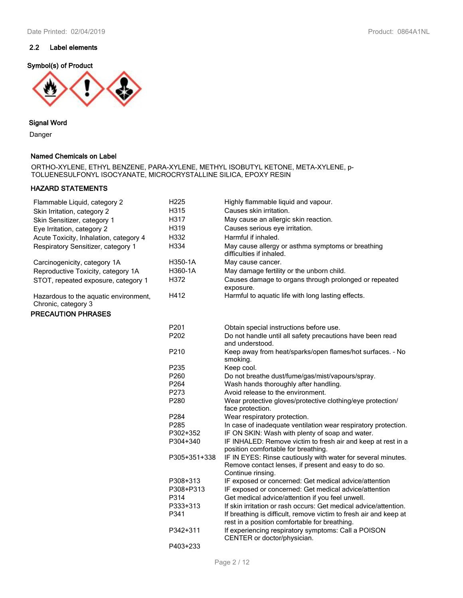### **2.2 Label elements**

#### **Symbol(s) of Product**



#### **Signal Word**

Danger

#### **Named Chemicals on Label**

ORTHO-XYLENE, ETHYL BENZENE, PARA-XYLENE, METHYL ISOBUTYL KETONE, META-XYLENE, p-TOLUENESULFONYL ISOCYANATE, MICROCRYSTALLINE SILICA, EPOXY RESIN

### **HAZARD STATEMENTS**

| Flammable Liquid, category 2                                 | H <sub>225</sub> | Highly flammable liquid and vapour.                                                                                                       |
|--------------------------------------------------------------|------------------|-------------------------------------------------------------------------------------------------------------------------------------------|
| Skin Irritation, category 2                                  | H315             | Causes skin irritation.                                                                                                                   |
| Skin Sensitizer, category 1                                  | H317             | May cause an allergic skin reaction.                                                                                                      |
| Eye Irritation, category 2                                   | H319             | Causes serious eye irritation.                                                                                                            |
| Acute Toxicity, Inhalation, category 4                       | H332             | Harmful if inhaled.                                                                                                                       |
| Respiratory Sensitizer, category 1                           | H334             | May cause allergy or asthma symptoms or breathing<br>difficulties if inhaled.                                                             |
| Carcinogenicity, category 1A                                 | H350-1A          | May cause cancer.                                                                                                                         |
| Reproductive Toxicity, category 1A                           | H360-1A          | May damage fertility or the unborn child.                                                                                                 |
| STOT, repeated exposure, category 1                          | H372             | Causes damage to organs through prolonged or repeated<br>exposure.                                                                        |
| Hazardous to the aquatic environment,<br>Chronic, category 3 | H412             | Harmful to aquatic life with long lasting effects.                                                                                        |
| <b>PRECAUTION PHRASES</b>                                    |                  |                                                                                                                                           |
|                                                              | P201             | Obtain special instructions before use.                                                                                                   |
|                                                              | P202             | Do not handle until all safety precautions have been read<br>and understood.                                                              |
|                                                              | P210             | Keep away from heat/sparks/open flames/hot surfaces. - No<br>smoking.                                                                     |
|                                                              | P235             | Keep cool.                                                                                                                                |
|                                                              | P260             | Do not breathe dust/fume/gas/mist/vapours/spray.                                                                                          |
|                                                              | P264             | Wash hands thoroughly after handling.                                                                                                     |
|                                                              | P273             | Avoid release to the environment.                                                                                                         |
|                                                              | P280             | Wear protective gloves/protective clothing/eye protection/<br>face protection.                                                            |
|                                                              | P284             | Wear respiratory protection.                                                                                                              |
|                                                              | P285             | In case of inadequate ventilation wear respiratory protection.                                                                            |
|                                                              | P302+352         | IF ON SKIN: Wash with plenty of soap and water.                                                                                           |
|                                                              | P304+340         | IF INHALED: Remove victim to fresh air and keep at rest in a<br>position comfortable for breathing.                                       |
|                                                              | P305+351+338     | IF IN EYES: Rinse cautiously with water for several minutes.<br>Remove contact lenses, if present and easy to do so.<br>Continue rinsing. |
|                                                              | P308+313         | IF exposed or concerned: Get medical advice/attention                                                                                     |
|                                                              | P308+P313        | IF exposed or concerned: Get medical advice/attention                                                                                     |
|                                                              | P314             | Get medical advice/attention if you feel unwell.                                                                                          |
|                                                              | P333+313         | If skin irritation or rash occurs: Get medical advice/attention.                                                                          |
|                                                              | P341             | If breathing is difficult, remove victim to fresh air and keep at                                                                         |
|                                                              | P342+311         | rest in a position comfortable for breathing.<br>If experiencing respiratory symptoms: Call a POISON<br>CENTER or doctor/physician.       |
|                                                              | P403+233         |                                                                                                                                           |
|                                                              |                  |                                                                                                                                           |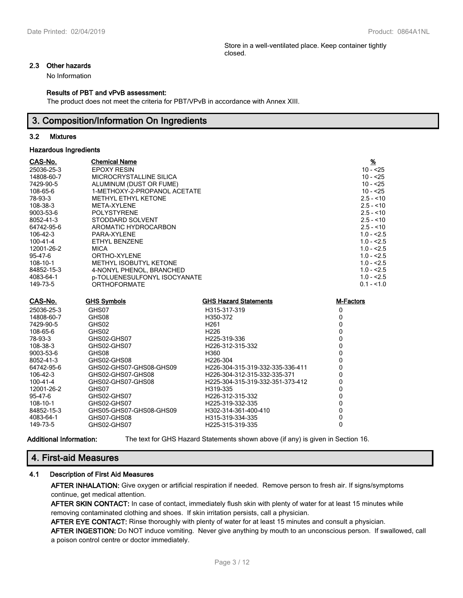Store in a well-ventilated place. Keep container tightly closed.

#### **2.3 Other hazards**

No Information

#### **Results of PBT and vPvB assessment:**

The product does not meet the criteria for PBT/VPvB in accordance with Annex XIII.

### **3. Composition/Information On Ingredients**

#### **3.2 Mixtures**

#### **Hazardous Ingredients**

| CAS-No.        | <b>Chemical Name</b>          |                              | $\frac{9}{6}$ |
|----------------|-------------------------------|------------------------------|---------------|
| 25036-25-3     | EPOXY RESIN                   |                              | $10 - 25$     |
| 14808-60-7     | MICROCRYSTALLINE SILICA       |                              | $10 - 25$     |
| 7429-90-5      | ALUMINUM (DUST OR FUME)       |                              | $10 - 25$     |
| 108-65-6       | 1-METHOXY-2-PROPANOL ACETATE  |                              | $10 - 25$     |
| 78-93-3        | <b>METHYL ETHYL KETONE</b>    |                              | $2.5 - 10$    |
| 108-38-3       | META-XYLENE                   |                              | $2.5 - 10$    |
| 9003-53-6      | <b>POLYSTYRENE</b>            |                              | $2.5 - 10$    |
| 8052-41-3      | STODDARD SOLVENT              |                              | $2.5 - 10$    |
| 64742-95-6     | AROMATIC HYDROCARBON          |                              | $2.5 - 10$    |
| $106 - 42 - 3$ | PARA-XYLENE                   |                              | $1.0 - 2.5$   |
| 100-41-4       | ETHYL BENZENE                 |                              | $1.0 - 2.5$   |
| 12001-26-2     | <b>MICA</b>                   |                              | $1.0 - 2.5$   |
| 95-47-6        | ORTHO-XYLENE                  |                              | $1.0 - 2.5$   |
| 108-10-1       | <b>METHYL ISOBUTYL KETONE</b> |                              | $1.0 - 2.5$   |
| 84852-15-3     | 4-NONYL PHENOL, BRANCHED      |                              | $1.0 - 2.5$   |
| 4083-64-1      | p-TOLUENESULFONYL ISOCYANATE  |                              | $1.0 - 2.5$   |
| 149-73-5       | <b>ORTHOFORMATE</b>           |                              | $0.1 - 1.0$   |
| CAS-No.        | <b>GHS Symbols</b>            | <b>GHS Hazard Statements</b> | M-Factors     |
| 25036-25-3     | GHS07                         | H315-317-319                 | 0             |

| 25036-25-3 | GHS07                   | H315-317-319                     |  |
|------------|-------------------------|----------------------------------|--|
| 14808-60-7 | GHS08                   | H350-372                         |  |
| 7429-90-5  | GHS02                   | H <sub>261</sub>                 |  |
| 108-65-6   | GHS02                   | H <sub>226</sub>                 |  |
| 78-93-3    | GHS02-GHS07             | H <sub>225</sub> -319-336        |  |
| 108-38-3   | GHS02-GHS07             | H <sub>226</sub> -312-315-332    |  |
| 9003-53-6  | GHS08                   | H360                             |  |
| 8052-41-3  | GHS02-GHS08             | H <sub>226</sub> -304            |  |
| 64742-95-6 | GHS02-GHS07-GHS08-GHS09 | H226-304-315-319-332-335-336-411 |  |
| 106-42-3   | GHS02-GHS07-GHS08       | H226-304-312-315-332-335-371     |  |
| 100-41-4   | GHS02-GHS07-GHS08       | H225-304-315-319-332-351-373-412 |  |
| 12001-26-2 | GHS07                   | H319-335                         |  |
| 95-47-6    | GHS02-GHS07             | H <sub>226</sub> -312-315-332    |  |
| 108-10-1   | GHS02-GHS07             | H <sub>225</sub> -319-332-335    |  |
| 84852-15-3 | GHS05-GHS07-GHS08-GHS09 | H302-314-361-400-410             |  |
| 4083-64-1  | GHS07-GHS08             | H315-319-334-335                 |  |
| 149-73-5   | GHS02-GHS07             | H225-315-319-335                 |  |
|            |                         |                                  |  |

**Additional Information:** The text for GHS Hazard Statements shown above (if any) is given in Section 16.

### **4. First-aid Measures**

### **4.1 Description of First Aid Measures**

**AFTER INHALATION:** Give oxygen or artificial respiration if needed. Remove person to fresh air. If signs/symptoms continue, get medical attention.

**AFTER SKIN CONTACT:** In case of contact, immediately flush skin with plenty of water for at least 15 minutes while removing contaminated clothing and shoes. If skin irritation persists, call a physician.

**AFTER EYE CONTACT:** Rinse thoroughly with plenty of water for at least 15 minutes and consult a physician.

**AFTER INGESTION:** Do NOT induce vomiting. Never give anything by mouth to an unconscious person. If swallowed, call a poison control centre or doctor immediately.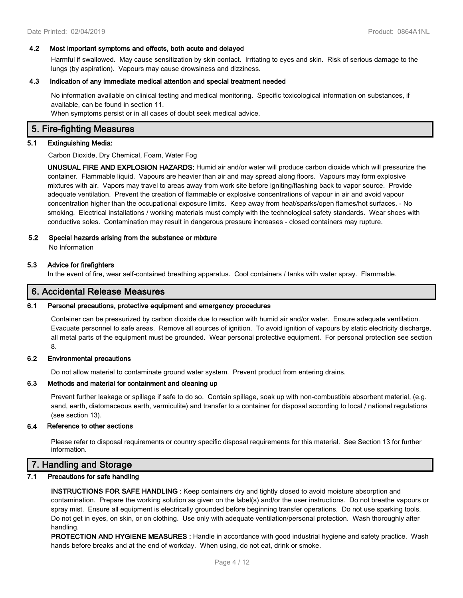#### **4.2 Most important symptoms and effects, both acute and delayed**

Harmful if swallowed. May cause sensitization by skin contact. Irritating to eyes and skin. Risk of serious damage to the lungs (by aspiration). Vapours may cause drowsiness and dizziness.

#### **4.3 Indication of any immediate medical attention and special treatment needed**

No information available on clinical testing and medical monitoring. Specific toxicological information on substances, if available, can be found in section 11.

When symptoms persist or in all cases of doubt seek medical advice.

### **5. Fire-fighting Measures**

#### **5.1 Extinguishing Media:**

Carbon Dioxide, Dry Chemical, Foam, Water Fog

**UNUSUAL FIRE AND EXPLOSION HAZARDS:** Humid air and/or water will produce carbon dioxide which will pressurize the container. Flammable liquid. Vapours are heavier than air and may spread along floors. Vapours may form explosive mixtures with air. Vapors may travel to areas away from work site before igniting/flashing back to vapor source. Provide adequate ventilation. Prevent the creation of flammable or explosive concentrations of vapour in air and avoid vapour concentration higher than the occupational exposure limits. Keep away from heat/sparks/open flames/hot surfaces. - No smoking. Electrical installations / working materials must comply with the technological safety standards. Wear shoes with conductive soles. Contamination may result in dangerous pressure increases - closed containers may rupture.

#### **5.2 Special hazards arising from the substance or mixture**

No Information

#### **5.3 Advice for firefighters**

In the event of fire, wear self-contained breathing apparatus. Cool containers / tanks with water spray. Flammable.

### **6. Accidental Release Measures**

#### **6.1 Personal precautions, protective equipment and emergency procedures**

Container can be pressurized by carbon dioxide due to reaction with humid air and/or water. Ensure adequate ventilation. Evacuate personnel to safe areas. Remove all sources of ignition. To avoid ignition of vapours by static electricity discharge, all metal parts of the equipment must be grounded. Wear personal protective equipment. For personal protection see section 8.

#### **6.2 Environmental precautions**

Do not allow material to contaminate ground water system. Prevent product from entering drains.

#### **6.3 Methods and material for containment and cleaning up**

Prevent further leakage or spillage if safe to do so. Contain spillage, soak up with non-combustible absorbent material, (e.g. sand, earth, diatomaceous earth, vermiculite) and transfer to a container for disposal according to local / national regulations (see section 13).

#### **6.4 Reference to other sections**

Please refer to disposal requirements or country specific disposal requirements for this material. See Section 13 for further information.

### **7. Handling and Storage**

#### **7.1 Precautions for safe handling**

**INSTRUCTIONS FOR SAFE HANDLING :** Keep containers dry and tightly closed to avoid moisture absorption and contamination. Prepare the working solution as given on the label(s) and/or the user instructions. Do not breathe vapours or spray mist. Ensure all equipment is electrically grounded before beginning transfer operations. Do not use sparking tools. Do not get in eyes, on skin, or on clothing. Use only with adequate ventilation/personal protection. Wash thoroughly after handling.

**PROTECTION AND HYGIENE MEASURES :** Handle in accordance with good industrial hygiene and safety practice. Wash hands before breaks and at the end of workday. When using, do not eat, drink or smoke.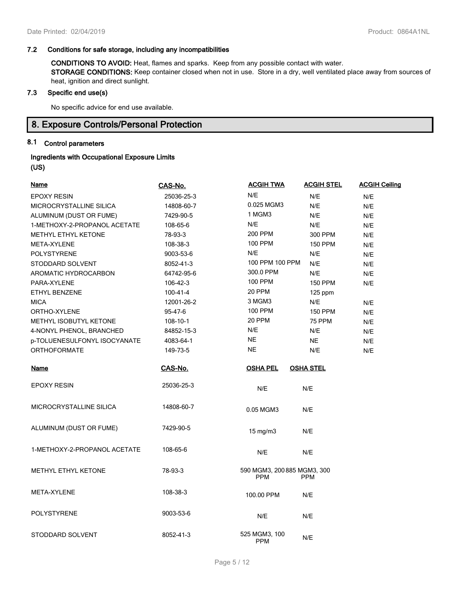### **7.2 Conditions for safe storage, including any incompatibilities**

**CONDITIONS TO AVOID:** Heat, flames and sparks. Keep from any possible contact with water. **STORAGE CONDITIONS:** Keep container closed when not in use. Store in a dry, well ventilated place away from sources of heat, ignition and direct sunlight.

### **7.3 Specific end use(s)**

No specific advice for end use available.

### **8. Exposure Controls/Personal Protection**

# **8.1 Control parameters**

### **Ingredients with Occupational Exposure Limits (US)**

| <u>Name</u>                  | CAS-No.    | <b>ACGIH TWA</b>                          | <b>ACGIH STEL</b> | <b>ACGIH Ceiling</b> |
|------------------------------|------------|-------------------------------------------|-------------------|----------------------|
| <b>EPOXY RESIN</b>           | 25036-25-3 | N/E                                       | N/E               | N/E                  |
| MICROCRYSTALLINE SILICA      | 14808-60-7 | 0.025 MGM3                                | N/E               | N/E                  |
| ALUMINUM (DUST OR FUME)      | 7429-90-5  | 1 MGM3                                    | N/E               | N/E                  |
| 1-METHOXY-2-PROPANOL ACETATE | 108-65-6   | N/E                                       | N/E               | N/E                  |
| METHYL ETHYL KETONE          | 78-93-3    | 200 PPM                                   | 300 PPM           | N/E                  |
| <b>META-XYLENE</b>           | 108-38-3   | 100 PPM                                   | <b>150 PPM</b>    | N/E                  |
| <b>POLYSTYRENE</b>           | 9003-53-6  | N/E                                       | N/E               | N/E                  |
| STODDARD SOLVENT             | 8052-41-3  | 100 PPM 100 PPM                           | N/E               | N/E                  |
| AROMATIC HYDROCARBON         | 64742-95-6 | 300.0 PPM                                 | N/E               | N/E                  |
| PARA-XYLENE                  | 106-42-3   | <b>100 PPM</b>                            | <b>150 PPM</b>    | N/E                  |
| ETHYL BENZENE                | 100-41-4   | 20 PPM                                    | 125 ppm           |                      |
| <b>MICA</b>                  | 12001-26-2 | 3 MGM3                                    | N/E               | N/E                  |
| ORTHO-XYLENE                 | 95-47-6    | <b>100 PPM</b>                            | <b>150 PPM</b>    | N/E                  |
| METHYL ISOBUTYL KETONE       | 108-10-1   | 20 PPM                                    | <b>75 PPM</b>     | N/E                  |
| 4-NONYL PHENOL, BRANCHED     | 84852-15-3 | N/E                                       | N/E               | N/E                  |
| p-TOLUENESULFONYL ISOCYANATE | 4083-64-1  | <b>NE</b>                                 | <b>NE</b>         | N/E                  |
| <b>ORTHOFORMATE</b>          | 149-73-5   | <b>NE</b>                                 | N/E               | N/E                  |
| <u>Name</u>                  | CAS-No.    | <b>OSHA PEL</b>                           | <b>OSHA STEL</b>  |                      |
| <b>EPOXY RESIN</b>           | 25036-25-3 | N/E                                       | N/E               |                      |
| MICROCRYSTALLINE SILICA      | 14808-60-7 | 0.05 MGM3                                 | N/E               |                      |
| ALUMINUM (DUST OR FUME)      | 7429-90-5  | 15 mg/m3                                  | N/E               |                      |
| 1-METHOXY-2-PROPANOL ACETATE | 108-65-6   | N/E                                       | N/E               |                      |
| METHYL ETHYL KETONE          | 78-93-3    | 590 MGM3, 200 885 MGM3, 300<br><b>PPM</b> | <b>PPM</b>        |                      |
| META-XYLENE                  | 108-38-3   | 100.00 PPM                                | N/E               |                      |
| <b>POLYSTYRENE</b>           | 9003-53-6  | N/E                                       | N/E               |                      |
| STODDARD SOLVENT             | 8052-41-3  | 525 MGM3, 100<br><b>PPM</b>               | N/E               |                      |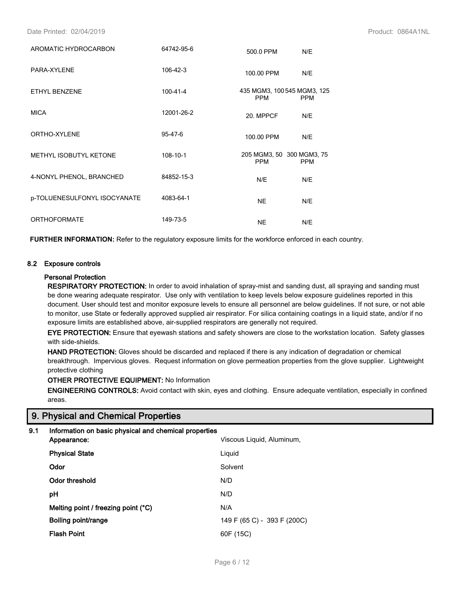Date Printed: 02/04/2019 Product: 0864A1NL

| AROMATIC HYDROCARBON         | 64742-95-6     | 500.0 PPM                                 | N/E        |
|------------------------------|----------------|-------------------------------------------|------------|
| PARA-XYLENE                  | 106-42-3       | 100.00 PPM                                | N/E        |
| <b>ETHYL BENZENE</b>         | $100 - 41 - 4$ | 435 MGM3, 100 545 MGM3, 125<br><b>PPM</b> | <b>PPM</b> |
| <b>MICA</b>                  | 12001-26-2     | 20. MPPCF                                 | N/E        |
| ORTHO-XYLENE                 | $95 - 47 - 6$  | 100.00 PPM                                | N/E        |
| METHYL ISOBUTYL KETONE       | 108-10-1       | 205 MGM3, 50 300 MGM3, 75<br><b>PPM</b>   | <b>PPM</b> |
| 4-NONYL PHENOL, BRANCHED     | 84852-15-3     | N/E                                       | N/E        |
| p-TOLUENESULFONYL ISOCYANATE | 4083-64-1      | <b>NE</b>                                 | N/E        |
| <b>ORTHOFORMATE</b>          | 149-73-5       | <b>NE</b>                                 | N/E        |

**FURTHER INFORMATION:** Refer to the regulatory exposure limits for the workforce enforced in each country.

#### **8.2 Exposure controls**

#### **Personal Protection**

**RESPIRATORY PROTECTION:** In order to avoid inhalation of spray-mist and sanding dust, all spraying and sanding must be done wearing adequate respirator. Use only with ventilation to keep levels below exposure guidelines reported in this document. User should test and monitor exposure levels to ensure all personnel are below guidelines. If not sure, or not able to monitor, use State or federally approved supplied air respirator. For silica containing coatings in a liquid state, and/or if no exposure limits are established above, air-supplied respirators are generally not required.

**EYE PROTECTION:** Ensure that eyewash stations and safety showers are close to the workstation location. Safety glasses with side-shields.

**HAND PROTECTION:** Gloves should be discarded and replaced if there is any indication of degradation or chemical breakthrough. Impervious gloves. Request information on glove permeation properties from the glove supplier. Lightweight protective clothing

**OTHER PROTECTIVE EQUIPMENT:** No Information

**ENGINEERING CONTROLS:** Avoid contact with skin, eyes and clothing. Ensure adequate ventilation, especially in confined areas.

### **9. Physical and Chemical Properties**

### **9.1 Information on basic physical and chemical properties**

| Viscous Liquid, Aluminum,   |
|-----------------------------|
|                             |
|                             |
|                             |
|                             |
|                             |
| 149 F (65 C) - 393 F (200C) |
| 60F (15C)                   |
|                             |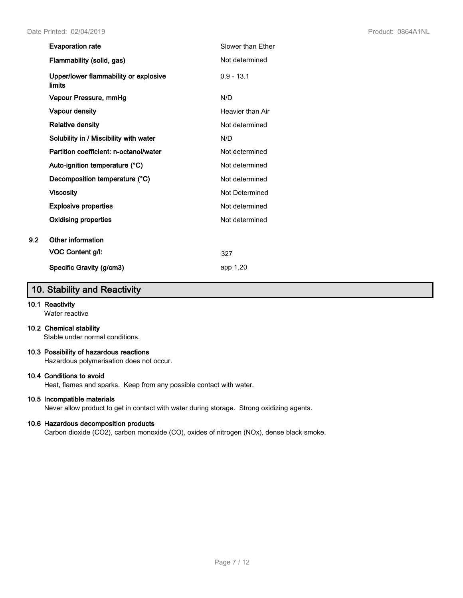| <b>Evaporation rate</b>                         | Slower than Ether |
|-------------------------------------------------|-------------------|
| Flammability (solid, gas)                       | Not determined    |
| Upper/lower flammability or explosive<br>limits | $0.9 - 13.1$      |
| Vapour Pressure, mmHg                           | N/D               |
| <b>Vapour density</b>                           | Heavier than Air  |
| <b>Relative density</b>                         | Not determined    |
| Solubility in / Miscibility with water          | N/D               |
| Partition coefficient: n-octanol/water          | Not determined    |
| Auto-ignition temperature (°C)                  | Not determined    |
| Decomposition temperature (°C)                  | Not determined    |
| <b>Viscosity</b>                                | Not Determined    |
| <b>Explosive properties</b>                     | Not determined    |
| Oxidising properties                            | Not determined    |
| Other information                               |                   |
| VOC Content g/l:                                | 327               |
| Specific Gravity (g/cm3)                        | app 1.20          |

# **10. Stability and Reactivity**

### **10.1 Reactivity**

**9.2 Other information**

Water reactive

#### **10.2 Chemical stability**

Stable under normal conditions.

#### **10.3 Possibility of hazardous reactions**

Hazardous polymerisation does not occur.

### **10.4 Conditions to avoid**

Heat, flames and sparks. Keep from any possible contact with water.

### **10.5 Incompatible materials**

Never allow product to get in contact with water during storage. Strong oxidizing agents.

### **10.6 Hazardous decomposition products**

Carbon dioxide (CO2), carbon monoxide (CO), oxides of nitrogen (NOx), dense black smoke.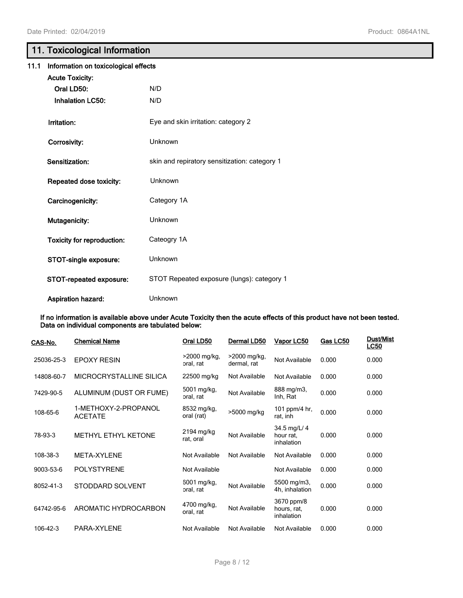# **11. Toxicological Information**

| 11.1 | Information on toxicological effects |                                               |  |
|------|--------------------------------------|-----------------------------------------------|--|
|      | <b>Acute Toxicity:</b>               |                                               |  |
|      | Oral LD50:                           | N/D                                           |  |
|      | <b>Inhalation LC50:</b>              | N/D                                           |  |
|      | Irritation:                          | Eye and skin irritation: category 2           |  |
|      | Corrosivity:                         | <b>Unknown</b>                                |  |
|      | Sensitization:                       | skin and repiratory sensitization: category 1 |  |
|      | Repeated dose toxicity:              | Unknown                                       |  |
|      | Carcinogenicity:                     | Category 1A                                   |  |
|      | Mutagenicity:                        | <b>Unknown</b>                                |  |
|      | <b>Toxicity for reproduction:</b>    | Cateogry 1A                                   |  |
|      | STOT-single exposure:                | <b>Unknown</b>                                |  |
|      | STOT-repeated exposure:              | STOT Repeated exposure (lungs): category 1    |  |
|      | Aspiration hazard:                   | Unknown                                       |  |

**If no information is available above under Acute Toxicity then the acute effects of this product have not been tested. Data on individual components are tabulated below:**

| CAS-No.    | <b>Chemical Name</b>                   | Oral LD50                   | Dermal LD50                   | Vapor LC50                              | Gas LC50 | Dust/Mist<br><u>LC50</u> |
|------------|----------------------------------------|-----------------------------|-------------------------------|-----------------------------------------|----------|--------------------------|
| 25036-25-3 | <b>EPOXY RESIN</b>                     | $>2000$ mg/kg,<br>oral, rat | $>2000$ mg/kg,<br>dermal, rat | Not Available                           | 0.000    | 0.000                    |
| 14808-60-7 | MICROCRYSTALLINE SILICA                | 22500 mg/kg                 | Not Available                 | Not Available                           | 0.000    | 0.000                    |
| 7429-90-5  | ALUMINUM (DUST OR FUME)                | 5001 mg/kg,<br>oral, rat    | Not Available                 | 888 mg/m3,<br>Inh, Rat                  | 0.000    | 0.000                    |
| 108-65-6   | 1-METHOXY-2-PROPANOL<br><b>ACETATE</b> | 8532 mg/kg,<br>oral (rat)   | >5000 mg/kg                   | 101 ppm/4 hr,<br>rat, inh               | 0.000    | 0.000                    |
| 78-93-3    | <b>METHYL ETHYL KETONE</b>             | 2194 mg/kg<br>rat, oral     | Not Available                 | 34.5 mg/L/ 4<br>hour rat.<br>inhalation | 0.000    | 0.000                    |
| 108-38-3   | META-XYLENE                            | Not Available               | Not Available                 | Not Available                           | 0.000    | 0.000                    |
| 9003-53-6  | <b>POLYSTYRENE</b>                     | Not Available               |                               | Not Available                           | 0.000    | 0.000                    |
| 8052-41-3  | STODDARD SOLVENT                       | 6001 mg/kg,<br>oral, rat    | Not Available                 | 5500 mg/m3,<br>4h, inhalation           | 0.000    | 0.000                    |
| 64742-95-6 | AROMATIC HYDROCARBON                   | 4700 mg/kg,<br>oral, rat    | Not Available                 | 3670 ppm/8<br>hours, rat,<br>inhalation | 0.000    | 0.000                    |
| 106-42-3   | PARA-XYLENE                            | Not Available               | Not Available                 | Not Available                           | 0.000    | 0.000                    |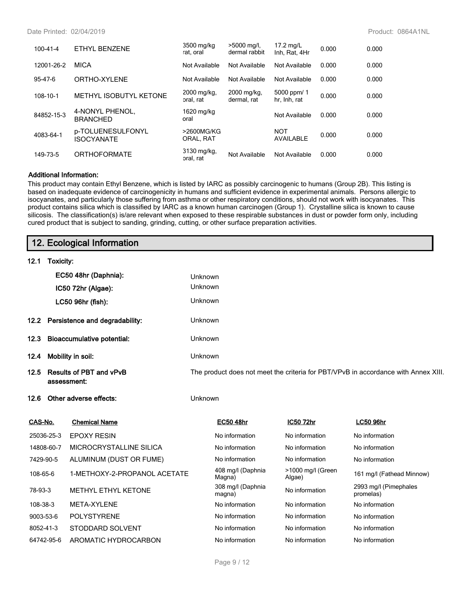#### Date Printed: 02/04/2019 Product: 0864A1NL

| $100 - 41 - 4$ | ETHYL BENZENE                          | 3500 mg/kg<br>rat, oral  | >5000 mg/l,<br>dermal rabbit | $17.2 \text{ mg/L}$<br>Inh. Rat. 4Hr | 0.000 | 0.000 |
|----------------|----------------------------------------|--------------------------|------------------------------|--------------------------------------|-------|-------|
| 12001-26-2     | <b>MICA</b>                            | Not Available            | Not Available                | Not Available                        | 0.000 | 0.000 |
| $95 - 47 - 6$  | ORTHO-XYLENE                           | Not Available            | Not Available                | Not Available                        | 0.000 | 0.000 |
| 108-10-1       | METHYL ISOBUTYL KETONE                 | 2000 mg/kg,<br>oral, rat | 2000 mg/kg,<br>dermal, rat   | 5000 ppm/ 1<br>hr, Inh, rat          | 0.000 | 0.000 |
| 84852-15-3     | 4-NONYL PHENOL,<br><b>BRANCHED</b>     | 1620 mg/kg<br>oral       |                              | Not Available                        | 0.000 | 0.000 |
| 4083-64-1      | p-TOLUENESULFONYL<br><b>ISOCYANATE</b> | >2600MG/KG<br>ORAL, RAT  |                              | <b>NOT</b><br><b>AVAILABLE</b>       | 0.000 | 0.000 |
| 149-73-5       | <b>ORTHOFORMATE</b>                    | 3130 mg/kg,<br>oral, rat | Not Available                | Not Available                        | 0.000 | 0.000 |

#### **Additional Information:**

This product may contain Ethyl Benzene, which is listed by IARC as possibly carcinogenic to humans (Group 2B). This listing is based on inadequate evidence of carcinogenicity in humans and sufficient evidence in experimental animals. Persons allergic to isocyanates, and particularly those suffering from asthma or other respiratory conditions, should not work with isocyanates. This product contains silica which is classified by IARC as a known human carcinogen (Group 1). Crystalline silica is known to cause silicosis. The classification(s) is/are relevant when exposed to these respirable substances in dust or powder form only, including cured product that is subject to sanding, grinding, cutting, or other surface preparation activities.

|           | 12. Ecological Information             |                                   |         |                                                                                    |                             |                                    |  |  |
|-----------|----------------------------------------|-----------------------------------|---------|------------------------------------------------------------------------------------|-----------------------------|------------------------------------|--|--|
| 12.1      | Toxicity:                              |                                   |         |                                                                                    |                             |                                    |  |  |
|           |                                        | EC50 48hr (Daphnia):              | Unknown |                                                                                    |                             |                                    |  |  |
|           |                                        | IC50 72hr (Algae):                | Unknown |                                                                                    |                             |                                    |  |  |
|           |                                        | LC50 96hr (fish):                 | Unknown |                                                                                    |                             |                                    |  |  |
| 12.2      |                                        | Persistence and degradability:    | Unknown |                                                                                    |                             |                                    |  |  |
| 12.3      |                                        | <b>Bioaccumulative potential:</b> | Unknown |                                                                                    |                             |                                    |  |  |
| 12.4      |                                        | Mobility in soil:                 | Unknown |                                                                                    |                             |                                    |  |  |
| 12.5      | Results of PBT and vPvB<br>assessment: |                                   |         | The product does not meet the criteria for PBT/VPvB in accordance with Annex XIII. |                             |                                    |  |  |
| 12.6      |                                        | Other adverse effects:            | Unknown |                                                                                    |                             |                                    |  |  |
| CAS-No.   |                                        | <b>Chemical Name</b>              |         | <b>EC50 48hr</b>                                                                   | IC50 72hr                   | <b>LC50 96hr</b>                   |  |  |
|           | 25036-25-3                             | <b>EPOXY RESIN</b>                |         | No information                                                                     | No information              | No information                     |  |  |
|           | 14808-60-7                             | MICROCRYSTALLINE SILICA           |         | No information                                                                     | No information              | No information                     |  |  |
| 7429-90-5 |                                        | ALUMINUM (DUST OR FUME)           |         | No information                                                                     | No information              | No information                     |  |  |
| 108-65-6  |                                        | 1-METHOXY-2-PROPANOL ACETATE      |         | 408 mg/l (Daphnia<br>Magna)                                                        | >1000 mg/l (Green<br>Algae) | 161 mg/l (Fathead Minnow)          |  |  |
| 78-93-3   |                                        | <b>METHYL ETHYL KETONE</b>        |         | 308 mg/l (Daphnia<br>magna)                                                        | No information              | 2993 mg/l (Pimephales<br>promelas) |  |  |
| 108-38-3  |                                        | META-XYLENE                       |         | No information                                                                     | No information              | No information                     |  |  |
| 9003-53-6 |                                        | <b>POLYSTYRENE</b>                |         | No information                                                                     | No information              | No information                     |  |  |
| 8052-41-3 |                                        | STODDARD SOLVENT                  |         | No information                                                                     | No information              | No information                     |  |  |
|           | 64742-95-6                             | AROMATIC HYDROCARBON              |         | No information                                                                     | No information              | No information                     |  |  |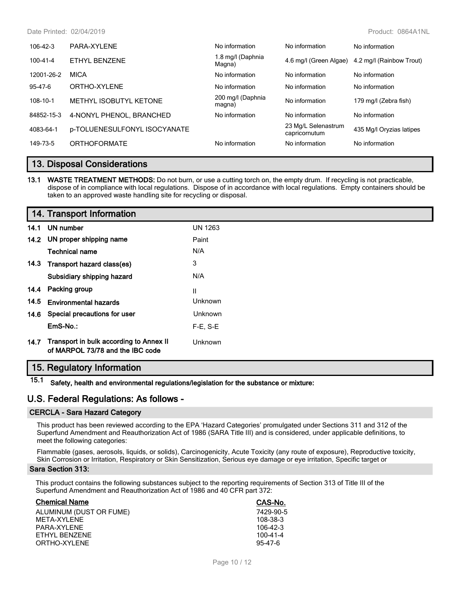Date Printed: 02/04/2019 Product: 0864A1NL

| $106 - 42 - 3$ | PARA-XYLENE                  | No information              | No information                       | No information                                  |
|----------------|------------------------------|-----------------------------|--------------------------------------|-------------------------------------------------|
| 100-41-4       | ETHYL BENZENE                | 1.8 mg/l (Daphnia<br>Magna) |                                      | 4.6 mg/l (Green Algae) 4.2 mg/l (Rainbow Trout) |
| 12001-26-2     | <b>MICA</b>                  | No information              | No information                       | No information                                  |
| 95-47-6        | ORTHO-XYLENE                 | No information              | No information                       | No information                                  |
| 108-10-1       | METHYL ISOBUTYL KETONE       | 200 mg/l (Daphnia<br>magna) | No information                       | 179 mg/l (Zebra fish)                           |
| 84852-15-3     | 4-NONYL PHENOL, BRANCHED     | No information              | No information                       | No information                                  |
| 4083-64-1      | p-TOLUENESULFONYL ISOCYANATE |                             | 23 Mg/L Selenastrum<br>capricornutum | 435 Mg/l Oryzias latipes                        |
| 149-73-5       | <b>ORTHOFORMATE</b>          | No information              | No information                       | No information                                  |

### **13. Disposal Considerations**

**13.1 WASTE TREATMENT METHODS:** Do not burn, or use a cutting torch on, the empty drum. If recycling is not practicable, dispose of in compliance with local regulations. Dispose of in accordance with local regulations. Empty containers should be taken to an approved waste handling site for recycling or disposal.

| 14. Transport Information |                                                                             |                |
|---------------------------|-----------------------------------------------------------------------------|----------------|
|                           | 14.1 UN number                                                              | <b>UN 1263</b> |
|                           | 14.2 UN proper shipping name                                                | Paint          |
|                           | <b>Technical name</b>                                                       | N/A            |
|                           | 14.3 Transport hazard class(es)                                             | 3              |
|                           | Subsidiary shipping hazard                                                  | N/A            |
|                           | 14.4 Packing group                                                          | Ш              |
| 14.5                      | <b>Environmental hazards</b>                                                | Unknown        |
|                           | 14.6 Special precautions for user                                           | <b>Unknown</b> |
|                           | EmS-No.:                                                                    | $F-E. S-E$     |
| 14.7                      | Transport in bulk according to Annex II<br>of MARPOL 73/78 and the IBC code | Unknown        |

### **15. Regulatory Information**

**15.1 Safety, health and environmental regulations/legislation for the substance or mixture:**

### **U.S. Federal Regulations: As follows -**

#### **CERCLA - Sara Hazard Category**

This product has been reviewed according to the EPA 'Hazard Categories' promulgated under Sections 311 and 312 of the Superfund Amendment and Reauthorization Act of 1986 (SARA Title III) and is considered, under applicable definitions, to meet the following categories:

Flammable (gases, aerosols, liquids, or solids), Carcinogenicity, Acute Toxicity (any route of exposure), Reproductive toxicity, Skin Corrosion or Irritation, Respiratory or Skin Sensitization, Serious eye damage or eye irritation, Specific target or

#### **Sara Section 313:**

This product contains the following substances subject to the reporting requirements of Section 313 of Title III of the Superfund Amendment and Reauthorization Act of 1986 and 40 CFR part 372:

| <b>Chemical Name</b>    | CAS-No.        |
|-------------------------|----------------|
| ALUMINUM (DUST OR FUME) | 7429-90-5      |
| MFTA-XYI FNF            | 108-38-3       |
| PARA-XYI FNF            | 106-42-3       |
| FTHYL BENZENE           | $100 - 41 - 4$ |
| ORTHO-XYLENE            | $95 - 47 - 6$  |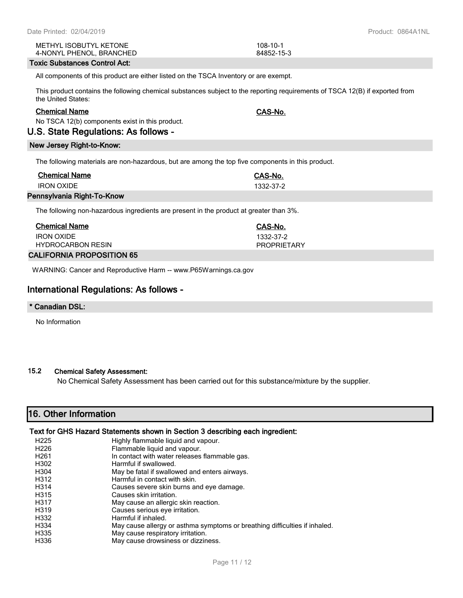| Date Printed: 02/04/2019 |
|--------------------------|
|--------------------------|

METHYL ISOBUTYL KETONE 108-10-1 4-NONYL PHENOL, BRANCHED 84852-15-3

### **Toxic Substances Control Act:**

All components of this product are either listed on the TSCA Inventory or are exempt.

This product contains the following chemical substances subject to the reporting requirements of TSCA 12(B) if exported from the United States:

### **Chemical Name CAS-No.**

No TSCA 12(b) components exist in this product.

# **U.S. State Regulations: As follows -**

### **New Jersey Right-to-Know:**

The following materials are non-hazardous, but are among the top five components in this product.

| <b>Chemical Name</b>       | CAS-No.   |
|----------------------------|-----------|
| <b>IRON OXIDE</b>          | 1332-37-2 |
| Pennsylvania Right-To-Know |           |

The following non-hazardous ingredients are present in the product at greater than 3%.

| <b>Chemical Name</b>            | CAS-No.            |
|---------------------------------|--------------------|
| <b>IRON OXIDE</b>               | 1332-37-2          |
| <b>HYDROCARBON RESIN</b>        | <b>PROPRIFTARY</b> |
| <b>ALIFADHIA DDADAAITIALLAF</b> |                    |

## **CALIFORNIA PROPOSITION 65**

WARNING: Cancer and Reproductive Harm -- www.P65Warnings.ca.gov

# **International Regulations: As follows -**

## **\* Canadian DSL:**

No Information

### **15.2 Chemical Safety Assessment:**

No Chemical Safety Assessment has been carried out for this substance/mixture by the supplier.

# **16. Other Information**

### **Text for GHS Hazard Statements shown in Section 3 describing each ingredient:**

| Highly flammable liquid and vapour.                                        |
|----------------------------------------------------------------------------|
| Flammable liquid and vapour.                                               |
| In contact with water releases flammable gas.                              |
| Harmful if swallowed.                                                      |
| May be fatal if swallowed and enters airways.                              |
| Harmful in contact with skin.                                              |
| Causes severe skin burns and eye damage.                                   |
| Causes skin irritation.                                                    |
| May cause an allergic skin reaction.                                       |
| Causes serious eye irritation.                                             |
| Harmful if inhaled.                                                        |
| May cause allergy or asthma symptoms or breathing difficulties if inhaled. |
| May cause respiratory irritation.                                          |
| May cause drowsiness or dizziness.                                         |
|                                                                            |